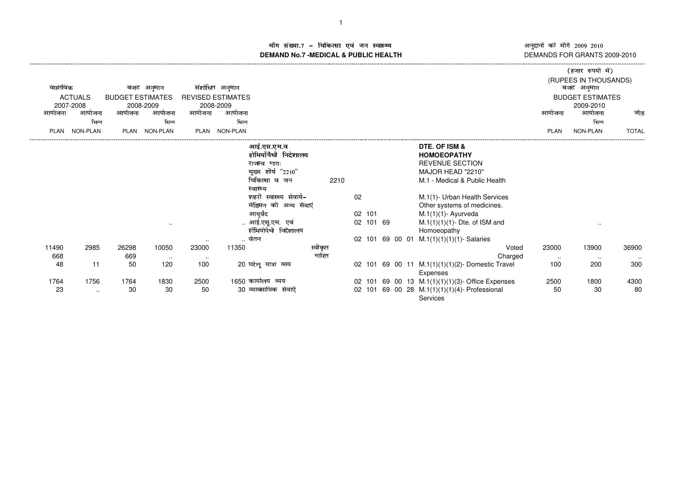अनुदानों की माँगें 2009–2010<br>DEMANDS FOR GRANTS 2009-2010 -------------------

()\*+,-./+010132

## ाँग संख्या.7 – चिकित्सा एवं जन स्वास्थ्य स्थान कर संस्था पर संस्था आर्यो अ **DEMAND No.7 -MEDICAL & PUBLIC HEALTH**----------------------------------------------------------------------------------------------------------------------------------------------------------------------------------------------------------------------------------------------------------------------------

| वास्तविक<br>आयोजना | <b>ACTUALS</b><br>2007-2008<br>आयोजना | <b>BUDGET ESTIMATES</b><br>आयोजना | बजट अनुमान<br>2008-2009<br>आयोजना | आयोजना          | संशोधित अनुमान<br><b>REVISED ESTIMATES</b><br>2008-2009<br>आयोजना |                                                                                                                                                                                                                         |         |                           |  |                                                                                                                                                                                                                                                                                                               | आयोजना        | रिल्गार राजना न/<br>(RUPEES IN THOUSANDS)<br>बजट अनुमान<br><b>BUDGET ESTIMATES</b><br>2009-2010<br>आयोजना | जोड             |
|--------------------|---------------------------------------|-----------------------------------|-----------------------------------|-----------------|-------------------------------------------------------------------|-------------------------------------------------------------------------------------------------------------------------------------------------------------------------------------------------------------------------|---------|---------------------------|--|---------------------------------------------------------------------------------------------------------------------------------------------------------------------------------------------------------------------------------------------------------------------------------------------------------------|---------------|-----------------------------------------------------------------------------------------------------------|-----------------|
|                    | भिन्न                                 |                                   | भिन्न                             |                 | भिन्न                                                             |                                                                                                                                                                                                                         |         |                           |  |                                                                                                                                                                                                                                                                                                               |               | भिन्न                                                                                                     |                 |
| PLAN               | NON-PLAN                              |                                   | PLAN NON-PLAN                     | PLAN            | <b>NON-PLAN</b>                                                   |                                                                                                                                                                                                                         |         |                           |  |                                                                                                                                                                                                                                                                                                               | <b>PLAN</b>   | NON-PLAN                                                                                                  | <b>TOTAL</b>    |
|                    |                                       |                                   | $\sim$                            | $\cdots$        |                                                                   | आई.एस.एम.व<br>होमियोँपैथी निदेशालय<br>राजस्व भागः<br>मुख्य शीर्ष "2210"<br>चिकित्सा व जन<br>स्वास्थ्य<br>शहरी स्वास्थ्य सेवायें-<br>मेडिसन की अन्य सेवाएं<br>आयुर्वेद<br>आई.एसू.एम. एवं<br>होँमियोपैथी निदेशालय<br>वेतन | 2210    | 02<br>02 101<br>02 101 69 |  | DTE. OF ISM &<br><b>HOMOEOPATHY</b><br><b>REVENUE SECTION</b><br>MAJOR HEAD "2210"<br>M.1 - Medical & Public Health<br>M.1(1)- Urban Health Services<br>Other systems of medicines.<br>$M.1(1)(1)$ - Ayurveda<br>$M.1(1)(1)(1)$ - Dte. of ISM and<br>Homoeopathy<br>02 101 69 00 01 M.1(1)(1)(1)(1)- Salaries |               | $\cdot$ .                                                                                                 |                 |
| 11490              | 2985                                  | 26298                             | 10050                             | 23000           | 11350                                                             |                                                                                                                                                                                                                         | स्वीकृत |                           |  | Voted                                                                                                                                                                                                                                                                                                         | 23000         | 13900                                                                                                     | 36900           |
| 668<br>48          | 11                                    | 669<br>50                         | $\sim$<br>120                     | $\cdots$<br>100 |                                                                   | 20 घरेलू यात्रा व्यय                                                                                                                                                                                                    | भारित   |                           |  | Charged<br>02 101 69 00 11 M.1(1)(1)(1)(2)- Domestic Travel<br>Expenses                                                                                                                                                                                                                                       | $\sim$<br>100 | $\sim$<br>200                                                                                             | $\cdots$<br>300 |
| 1764<br>23         | 1756<br>$\sim$                        | 1764<br>30                        | 1830<br>30                        | 2500<br>50      |                                                                   | 1650 कार्यालय व्यय<br>30 व्यावसायिक सेवाऐं                                                                                                                                                                              |         |                           |  | 02 101 69 00 13 M.1(1)(1)(1)(3)- Office Expenses<br>02 101 69 00 28 M.1(1)(1)(1)(4)- Professional<br>Services                                                                                                                                                                                                 | 2500<br>50    | 1800<br>30                                                                                                | 4300<br>80      |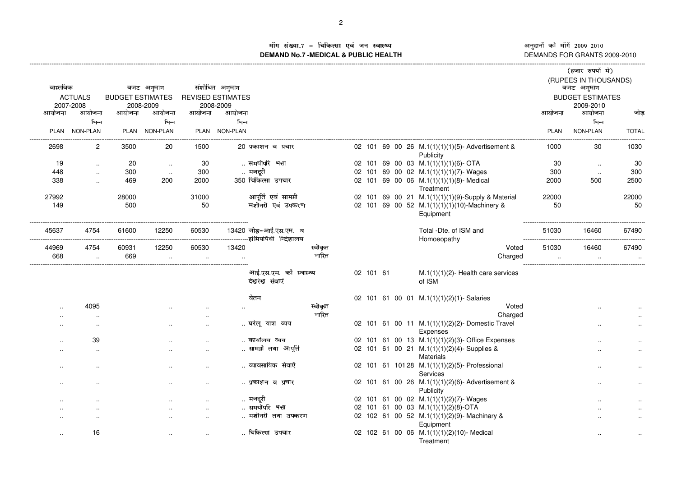iंग संख्या.7 - चिकित्सा एवं जन स्वास्थ्य<br>IAND No.7 MEDICAL & DIJBLIC HEALTH **DEMAND No.7 -MEDICAL & PUBLIC HEALTH**

١ अनुदानां का मार्ग 2009–2010<br>DEMANDS FOR GRANTS 2009-2010 <mark>ं</mark> की माँगें 2009-2010

|                      |                      |                         |               |           |                          |                                                |         |           |  |                                                               |             | (हजार रुपयों में)       |              |
|----------------------|----------------------|-------------------------|---------------|-----------|--------------------------|------------------------------------------------|---------|-----------|--|---------------------------------------------------------------|-------------|-------------------------|--------------|
|                      |                      |                         |               |           |                          |                                                |         |           |  |                                                               |             | (RUPEES IN THOUSANDS)   |              |
| वास्तविक             |                      |                         | बजट अनुमान    |           | संशोधित अनुमान           |                                                |         |           |  |                                                               |             | बजट अनुमान              |              |
|                      | <b>ACTUALS</b>       | <b>BUDGET ESTIMATES</b> |               |           | <b>REVISED ESTIMATES</b> |                                                |         |           |  |                                                               |             | <b>BUDGET ESTIMATES</b> |              |
|                      | 2007-2008            |                         | 2008-2009     |           | 2008-2009                |                                                |         |           |  |                                                               |             | 2009-2010               |              |
| आयोजना               | आयोजना               | आयोजना                  | आयोजना        | आयोजना    | आयोजना                   |                                                |         |           |  |                                                               | आयोजना      | आयोजना                  | जोड़         |
|                      | भिन्न                |                         | भिन्न         |           | भिन्न                    |                                                |         |           |  |                                                               |             | भिन्न                   |              |
|                      | PLAN NON-PLAN        |                         | PLAN NON-PLAN |           | PLAN NON-PLAN            |                                                |         |           |  |                                                               | <b>PLAN</b> | NON-PLAN                | <b>TOTAL</b> |
| 2698                 | $\overline{2}$       | 3500                    | 20            | 1500      |                          | 20 प्रकाशन व प्रचार                            |         |           |  | 02 101 69 00 26 M.1(1)(1)(1)(5)- Advertisement &<br>Publicity | 1000        | 30                      | 1030         |
| 19                   | $\ddot{\phantom{a}}$ | 20                      | $\sim$        | 30        |                          | समयोपरि भत्ता                                  |         |           |  | 02 101 69 00 03 M.1(1)(1)(1)(6)- OTA                          | 30          | $\ddotsc$               | 30           |
| 448                  | $\ddot{\phantom{a}}$ | 300                     | $\sim$        | 300       |                          | मजदूरी                                         |         |           |  | 02 101 69 00 02 M.1(1)(1)(1)(7)-Wages                         | 300         | $\ldots$                | 300          |
| 338                  |                      | 469                     | 200           | 2000      |                          | 350 चिकित्सा उपचार                             |         |           |  | 02 101 69 00 06 M.1(1)(1)(1)(8)- Medical<br>Treatment         | 2000        | 500                     | 2500         |
| 27992                |                      | 28000                   |               | 31000     |                          | आपूर्ति एवं सामग्री                            |         |           |  | 02 101 69 00 21 M.1(1)(1)(1)(9)-Supply & Material             | 22000       |                         | 22000        |
| 149                  |                      | 500                     |               | 50        |                          | मशीनरी एवं उपकरण                               |         |           |  | 02 101 69 00 52 M.1(1)(1)(1)(10)-Machinery &<br>Equipment     | 50          |                         | 50           |
| 45637                | 4754                 | 61600                   | 12250         | 60530     |                          | 13420 जोड़-आई.एस.एम. व<br>-होमियोपैथी निदेशालय |         |           |  | Total -Dte. of ISM and<br>Homoeopathy                         | 51030       | 16460                   | 67490        |
| 44969                | 4754                 | 60931                   | 12250         | 60530     | 13420                    |                                                | स्वीकृत |           |  | Voted                                                         | 51030       | 16460                   | 67490        |
| 668                  | $\ldots$             | 669                     | $\ddotsc$     |           |                          |                                                | भारित   |           |  | Charged                                                       |             |                         | $\ddotsc$    |
|                      |                      |                         |               |           |                          | आई.एस.एम. की स्वास्थ्य<br>देखरेख सेवाएं        |         | 02 101 61 |  | $M.1(1)(1)(2)$ - Health care services<br>of ISM               |             |                         |              |
|                      |                      |                         |               |           |                          | वेतन                                           |         |           |  | 02 101 61 00 01 M.1(1)(1)(2)(1)-Salaries                      |             |                         |              |
|                      | 4095                 |                         |               |           |                          |                                                | स्वीकृत |           |  | Voted                                                         |             |                         |              |
|                      |                      |                         |               |           |                          |                                                | भारित   |           |  | Charged                                                       |             |                         |              |
|                      | ٠.                   |                         |               | $\cdot$ . |                          | घरेलू यात्रा व्यय                              |         |           |  | 02 101 61 00 11 M.1(1)(1)(2)(2)-Domestic Travel<br>Expenses   |             | $\cdot$ .               |              |
|                      | 39                   |                         |               | $\cdot$   |                          | कार्यालय व्यय                                  |         |           |  | 02 101 61 00 13 M.1(1)(1)(2)(3)-Office Expenses               |             |                         |              |
|                      | ٠.                   |                         |               |           |                          | सामग्री तथा आपूर्ति                            |         |           |  | 02 101 61 00 21 M.1(1)(1)(2)(4)-Supplies &                    |             |                         |              |
|                      |                      |                         |               |           |                          |                                                |         |           |  | <b>Materials</b>                                              |             |                         |              |
|                      | $\cdot$ .            |                         |               |           |                          | व्यावसायिक सेवाऐँ                              |         |           |  | 02 101 61 101 28 M.1(1)(1)(2)(5)- Professional                |             |                         |              |
|                      |                      |                         |               |           |                          |                                                |         |           |  | Services                                                      |             |                         |              |
|                      | ٠.                   |                         |               |           |                          | प्रकाशन व प्रचार                               |         |           |  | 02 101 61 00 26 M.1(1)(1)(2)(6)-Advertisement &<br>Publicity  |             | .,                      |              |
|                      |                      |                         |               | $\cdot$ . |                          | मजदूरी                                         |         |           |  | 02 101 61 00 02 M.1(1)(1)(2)(7)-Wages                         |             |                         |              |
|                      |                      |                         |               | $\ddotsc$ |                          | समयोपरि भत्ता                                  |         |           |  | 02 101 61 00 03 M.1(1)(1)(2)(8)-OTA                           |             |                         |              |
|                      | $\cdot$ .            |                         |               | $\cdot$ . |                          | मशीनरी तथा उपकरण                               |         |           |  | 02 102 61 00 52 M.1(1)(1)(2)(9)-Machinary &<br>Equipment      |             |                         |              |
| $\ddot{\phantom{a}}$ | 16                   |                         |               | $\ddotsc$ |                          | चिकित्सा उपचार                                 |         |           |  | 02 102 61 00 06 M.1(1)(1)(2)(10)-Medical<br>Treatment         |             | $\ddotsc$               |              |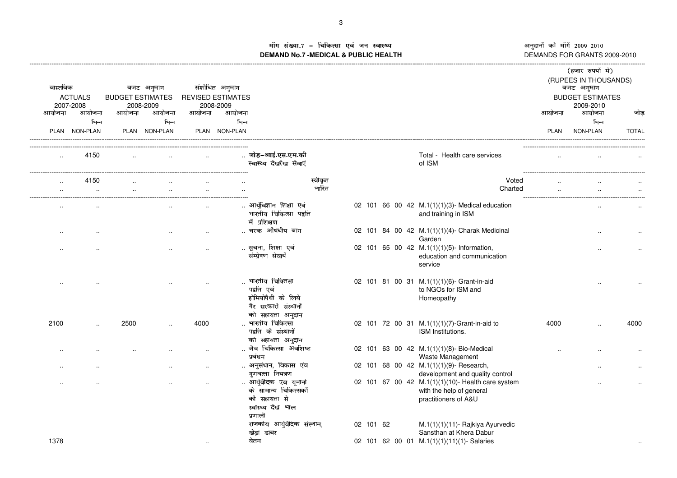अनुदानों की माँगें 2009–2010<br>DEMANDS FOR GRANTS 2009-2010

## ॉग संख्या.7 - चिकित्सा एवं जन स्वास्थ्य<br>IAND No.7 MEDICAL & DIIBLIC HEALTH DEMANDS FOR GRANTS 2009-2010 **DEMAND No.7 -MEDICAL & PUBLIC HEALTH**

|                    |                             |                         |               |           |                                       |                                                                                                |                  |           |  |                                                                                                       |        | (हजार रुपयों में)                    |              |
|--------------------|-----------------------------|-------------------------|---------------|-----------|---------------------------------------|------------------------------------------------------------------------------------------------|------------------|-----------|--|-------------------------------------------------------------------------------------------------------|--------|--------------------------------------|--------------|
| वास्तविक           |                             |                         | बजट अनुमान    |           | संशोधित अनुमान                        |                                                                                                |                  |           |  |                                                                                                       |        | (RUPEES IN THOUSANDS)<br>बजट अनुमान  |              |
|                    | <b>ACTUALS</b><br>2007-2008 | <b>BUDGET ESTIMATES</b> | 2008-2009     |           | <b>REVISED ESTIMATES</b><br>2008-2009 |                                                                                                |                  |           |  |                                                                                                       |        | <b>BUDGET ESTIMATES</b><br>2009-2010 |              |
| आयोजना             | आयोजना                      | आयोजना                  | आयोजना        | आयोजना    | आयोजना                                |                                                                                                |                  |           |  |                                                                                                       | आयोजना | आयोजना                               | जोड          |
|                    | भिन्न                       |                         | भिन्न         |           | भिन्न                                 |                                                                                                |                  |           |  |                                                                                                       |        | भिन्न                                |              |
|                    | PLAN NON-PLAN               |                         | PLAN NON-PLAN |           | PLAN NON-PLAN                         |                                                                                                |                  |           |  |                                                                                                       | PLAN   | NON-PLAN                             | <b>TOTAL</b> |
| $\ddotsc$          | 4150                        |                         |               |           |                                       | जोड़-आई.एस.एम.की<br>स्वास्थ्य देखरेख सेवाएं                                                    |                  |           |  | Total - Health care services<br>of ISM                                                                |        |                                      |              |
| $\ldots$<br>$\sim$ | 4150<br>$\sim$              | $\ddot{\phantom{a}}$    | $\ddotsc$     | $\ddotsc$ |                                       |                                                                                                | स्वीकृत<br>भारित |           |  | Voted<br>Charted                                                                                      |        |                                      |              |
|                    |                             |                         |               |           |                                       | आर्युविज्ञान शिक्षा एवं<br>भारतीय चिकित्सा पद्वति<br>में प्रशिक्षण                             |                  |           |  | 02 101 66 00 42 M.1(1)(1)(3)- Medical education<br>and training in ISM                                |        |                                      |              |
| ٠.                 |                             |                         |               |           |                                       | चरक औषधीय बाग                                                                                  |                  |           |  | 02 101 84 00 42 M.1(1)(1)(4)- Charak Medicinal<br>Garden                                              |        |                                      |              |
|                    |                             |                         |               | $\cdot$ . |                                       | सूचना, शिक्षा एवं<br>संम्प्रेषण सेवायें                                                        |                  |           |  | 02 101 65 00 42 M.1(1)(1)(5)- Information,<br>education and communication<br>service                  |        |                                      |              |
|                    |                             |                         |               | $\ddotsc$ |                                       | भारतीय चिक्तिसा<br>पद्वति एवं<br>होमियोपैथी के लिये<br>गैर सरकारी संस्थानों                    |                  |           |  | 02 101 81 00 31 M.1(1)(1)(6)- Grant-in-aid<br>to NGOs for ISM and<br>Homeopathy                       |        |                                      |              |
| 2100               |                             | 2500                    |               | 4000      |                                       | को सहायता अनुदान<br>भारतीय चिकित्सा<br>पद्वति के संस्थानों                                     |                  |           |  | 02 101 72 00 31 M.1(1)(1)(7)-Grant-in-aid to<br>ISM Institutions.                                     | 4000   |                                      | 4000         |
|                    |                             |                         |               |           |                                       | को सहायता अनुदान<br>जैव चिकित्सा अवशिष्ट<br>प्रबंधन                                            |                  |           |  | 02 101 63 00 42 M.1(1)(1)(8)- Bio-Medical<br>Waste Management                                         |        |                                      |              |
|                    |                             |                         |               | $\ddotsc$ |                                       | अनुसंधान, विकास एंव<br>गुणवत्ता नियत्रण                                                        |                  |           |  | 02 101 68 00 42 M.1(1)(1)(9)- Research,<br>development and quality control                            |        |                                      |              |
|                    |                             |                         |               |           |                                       | आर्युवैदिक एवं यूनानी<br>के सामान्य चिकित्सकों<br>की सहायता से<br>स्वास्थ्य देख भाल<br>प्रणाली |                  |           |  | 02 101 67 00 42 M.1(1)(1)(10)- Health care system<br>with the help of general<br>practitioners of A&U |        |                                      |              |
|                    |                             |                         |               |           |                                       | राजकीय आर्युवैदिक संस्थान,<br>खेड़ा डाबर                                                       |                  | 02 101 62 |  | M.1(1)(1)(11)- Rajkiya Ayurvedic<br>Sansthan at Khera Dabur                                           |        |                                      |              |
| 1378               |                             |                         |               | $\ddotsc$ |                                       | वेतन                                                                                           |                  |           |  | 02 101 62 00 01 M.1(1)(1)(11)(1)-Salaries                                                             |        |                                      |              |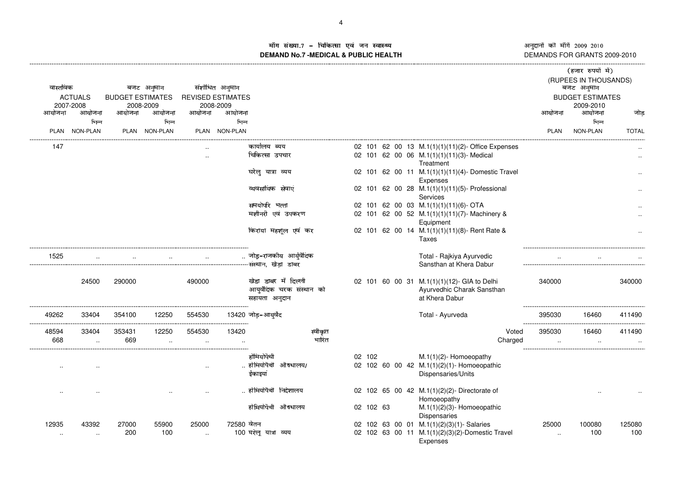अनुदानों की माँगें 2009–2010 DEMANDS FOR GRANTS 2009-2010 -------------------

## i'ग संख्या.7 - चिकित्सा एवं जन स्वास्थ्य<br>|AND No 7 MEDICAL & DIJBLIC HEALTH **DEMAND No.7 -MEDICAL & PUBLIC HEALTH**

----------------------------------------------------------------------------------------------------------------------------------------------------------------------------------------------------------------------------------------------------------------------------

| वास्तविक | <b>ACTUALS</b><br>2007-2008 | <b>BUDGET ESTIMATES</b> | बजट अनुमान<br>2008-2009 |           | संशोधित अनुमान<br><b>REVISED ESTIMATES</b><br>2008-2009 |                                                                    |         |           |  |                                                                                                                |                    | (हजार रुपयों में)<br>(RUPEES IN THOUSANDS)<br>बजट अनुमान<br><b>BUDGET ESTIMATES</b><br>2009-2010 |               |
|----------|-----------------------------|-------------------------|-------------------------|-----------|---------------------------------------------------------|--------------------------------------------------------------------|---------|-----------|--|----------------------------------------------------------------------------------------------------------------|--------------------|--------------------------------------------------------------------------------------------------|---------------|
| आयोजना   | आयोजना                      | आयोजना                  | आयोजना                  | आयोजना    | आयोजना                                                  |                                                                    |         |           |  |                                                                                                                | आयोजना             | आयोजना                                                                                           | जोड           |
|          | भिन्न<br>PLAN NON-PLAN      |                         | भिन्न<br>PLAN NON-PLAN  |           | भिन्न<br>PLAN NON-PLAN                                  |                                                                    |         |           |  |                                                                                                                | <b>PLAN</b>        | भिन्न<br>NON-PLAN                                                                                | <b>TOTAL</b>  |
| 147      |                             |                         |                         |           |                                                         | कार्यालय ब्यय                                                      |         |           |  | 02 101 62 00 13 M.1(1)(1)(11)(2)- Office Expenses                                                              |                    |                                                                                                  |               |
|          |                             |                         |                         | $\ddotsc$ |                                                         | चिकित्सा उपचार                                                     |         |           |  | 02 101 62 00 06 M.1(1)(1)(11)(3)- Medical<br>Treatment                                                         |                    |                                                                                                  | $\ddotsc$     |
|          |                             |                         |                         |           |                                                         | घरेलु यात्रा व्यय                                                  |         |           |  | 02 101 62 00 11 M.1(1)(1)(11)(4)-Domestic Travel                                                               |                    |                                                                                                  |               |
|          |                             |                         |                         |           |                                                         | व्यवसायिक सेवाएं                                                   |         |           |  | Expenses<br>02 101 62 00 28 M.1(1)(1)(11)(5)- Professional<br>Services                                         |                    |                                                                                                  |               |
|          |                             |                         |                         |           |                                                         | समयोपरि भत्ता                                                      |         |           |  | 02 101 62 00 03 M.1(1)(1)(11)(6)- OTA                                                                          |                    |                                                                                                  |               |
|          |                             |                         |                         |           |                                                         | मशीनरी एवं उपकरण                                                   |         |           |  | 02 101 62 00 52 M.1(1)(1)(11)(7)-Machinery &<br>Equipment                                                      |                    |                                                                                                  |               |
|          |                             |                         |                         |           |                                                         | किराया महशूल एवं कर                                                |         |           |  | 02 101 62 00 14 M.1(1)(1)(11)(8)- Rent Rate &<br>Taxes                                                         |                    |                                                                                                  |               |
| 1525     |                             |                         |                         |           |                                                         | जोड़-राजकीय आर्युवैदिक                                             |         |           |  | Total - Rajkiya Ayurvedic<br>Sansthan at Khera Dabur                                                           |                    |                                                                                                  |               |
|          | 24500                       | 290000                  |                         | 490000    |                                                         | खेडा डाबर में दिल्ली<br>आयुर्वेदिक चरक संस्थान को<br>सहायता अनुदान |         |           |  | 02 101 60 00 31 M.1(1)(1)(12)- GIA to Delhi<br>Ayurvedhic Charak Sansthan<br>at Khera Dabur                    | 340000             |                                                                                                  | 340000        |
| 49262    | 33404                       | 354100                  | 12250                   | 554530    |                                                         | 13420 जोड़-आयुर्वेद                                                |         |           |  | Total - Ayurveda                                                                                               | 395030             | 16460                                                                                            | 411490        |
| 48594    | 33404                       | 353431                  | 12250                   | 554530    | 13420                                                   |                                                                    | स्वीकृत |           |  | Voted                                                                                                          | 395030             | 16460                                                                                            | 411490        |
| 668      |                             | 669                     |                         |           |                                                         |                                                                    | भारित   |           |  | Charged                                                                                                        |                    |                                                                                                  |               |
|          |                             |                         |                         |           |                                                         | होमियोपैथी<br>होमियोपैथी औषधालय/<br>ईकाइयां                        |         | 02 102    |  | $M.1(1)(2)$ - Homoeopathy<br>02 102 60 00 42 M.1(1)(2)(1)- Homoeopathic<br>Dispensaries/Units                  |                    |                                                                                                  |               |
|          |                             |                         |                         |           |                                                         | होमियोपैथी निदेशालय                                                |         |           |  | 02 102 65 00 42 M.1(1)(2)(2)-Directorate of<br>Homoeopathy                                                     |                    |                                                                                                  |               |
|          |                             |                         |                         |           |                                                         | होमियोपैथी औषधालय                                                  |         | 02 102 63 |  | $M.1(1)(2)(3)$ - Homoeopathic<br>Dispensaries                                                                  |                    |                                                                                                  |               |
| 12935    | 43392<br>$\cdot$ .          | 27000<br>200            | 55900<br>100            | 25000     | 72580 वेतन                                              | 100 घरेलू यात्रा व्यय                                              |         |           |  | 02 102 63 00 01 M.1(1)(2)(3)(1)-Salaries<br>02 102 63 00 11 M.1(1)(2)(3)(2)-Domestic Travel<br><b>Expenses</b> | 25000<br>$\ddotsc$ | 100080<br>100                                                                                    | 125080<br>100 |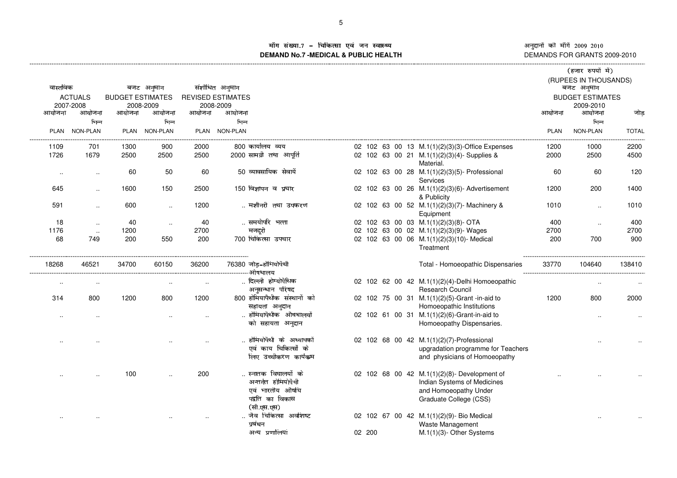ाँग संख्या.7 – चिकित्सा एवं जन स्वास्थ्य  $\,$ **DEMAND No.7 -MEDICAL & PUBLIC HEALTH**

----------------------------------------------------------------------------------------------------------------------------------------------------------------------------------------------------------------------------------------------------------------------------

अनुदानों की माँगें 2009–2010<br>DEMANDS FOR GRANTS 2009-2010 -------------------

|           |                      |                         |               |        |                               |        |                                                                     |             | (हजार रुपयों में)       |              |
|-----------|----------------------|-------------------------|---------------|--------|-------------------------------|--------|---------------------------------------------------------------------|-------------|-------------------------|--------------|
|           |                      |                         |               |        |                               |        |                                                                     |             | (RUPEES IN THOUSANDS)   |              |
| वास्तविक  |                      |                         | बजट अनुमान    |        | संशोधित अनुमान                |        |                                                                     |             | बजट अनुमान              |              |
|           | <b>ACTUALS</b>       | <b>BUDGET ESTIMATES</b> |               |        | <b>REVISED ESTIMATES</b>      |        |                                                                     |             | <b>BUDGET ESTIMATES</b> |              |
|           | 2007-2008            |                         | 2008-2009     |        | 2008-2009                     |        |                                                                     |             | 2009-2010               |              |
| आयोजना    | आयोजना               | आयोजना                  | आयोजना        | आयोजना | आयोजना                        |        |                                                                     | आयोजना      | आयोजना                  | जोड़         |
|           | भिन्न                |                         | भिन्न         |        | भिन्न                         |        |                                                                     |             | भिन्न                   |              |
|           | PLAN NON-PLAN        |                         | PLAN NON-PLAN |        | PLAN NON-PLAN                 |        |                                                                     | <b>PLAN</b> | NON-PLAN                | <b>TOTAL</b> |
| 1109      | 701                  | 1300                    | 900           | 2000   | 800 कार्यालय व्यय             |        | 02 102 63 00 13 M.1(1)(2)(3)(3)-Office Expenses                     | 1200        | 1000                    | 2200         |
| 1726      | 1679                 | 2500                    | 2500          | 2500   | 2000 सामग्री तथा आपूर्ति      |        | 02 102 63 00 21 M.1(1)(2)(3)(4)-Supplies &<br>Material.             | 2000        | 2500                    | 4500         |
| $\sim$    | $\cdot$ .            | 60                      | 50            | 60     | 50 व्यावसायिक सेवायें         |        | 02 102 63 00 28 M.1(1)(2)(3)(5)- Professional                       | 60          | 60                      | 120          |
|           |                      |                         |               |        |                               |        | Services                                                            |             |                         |              |
| 645       | $\cdot$ .            | 1600                    | 150           | 2500   | 150 विज्ञापन व प्रचार         |        | 02 102 63 00 26 M.1(1)(2)(3)(6)- Advertisement<br>& Publicity       | 1200        | 200                     | 1400         |
| 591       | $\ddotsc$            | 600                     | $\ddotsc$     | 1200   | मशीनरी तथा उपकरण              |        | 02 102 63 00 52 M.1(1)(2)(3)(7)-Machinery &                         | 1010        | $\ddotsc$               | 1010         |
|           |                      |                         |               |        |                               |        | Equipment                                                           |             |                         |              |
| 18        | $\sim$               | 40                      | $\sim$        | 40     | समयोपरि भत्ता                 |        | 02 102 63 00 03 M.1(1)(2)(3)(8)- OTA                                | 400         | $\ldots$                | 400          |
| 1176      | $\ddot{\phantom{0}}$ | 1200                    |               | 2700   | मजदूरी                        |        | 02 102 63 00 02 M.1(1)(2)(3)(9)- Wages                              | 2700        |                         | 2700         |
| 68        | 749                  | 200                     | 550           | 200    | 700 चिकित्सा उपचार            |        | 02 102 63 00 06 M.1(1)(2)(3)(10)- Medical                           | 200         | 700                     | 900          |
|           |                      |                         |               |        |                               |        | Treatment                                                           |             |                         |              |
| 18268     | 46521                | 34700                   | 60150         | 36200  | 76380 जोड़-होमियोपैथी         |        | Total - Homoeopathic Dispensaries                                   | 33770       | 104640                  | 138410       |
|           |                      |                         |               |        | -ओषधालय<br>दिल्ली होम्योपैथिक |        |                                                                     |             |                         |              |
| $\cdot$ . | $\cdot$ .            |                         |               |        | अनुसन्धान परिषद               |        | 02 102 62 00 42 M.1(1)(2)(4)-Delhi Homoeopathic<br>Research Council |             |                         |              |
| 314       | 800                  | 1200                    | 800           | 1200   | 800 होमियापैथीक संस्थानों को  |        | 02 102 75 00 31 M.1(1)(2)(5)-Grant-in-aid to                        | 1200        | 800                     | 2000         |
|           |                      |                         |               |        | सहायता अनुदान                 |        | Homoeopathic Institutions                                           |             |                         |              |
|           |                      |                         |               |        | होमियापैथीक औषधालयों          |        | 02 102 61 00 31 M.1(1)(2)(6)-Grant-in-aid to                        |             |                         |              |
| $\cdot$ . | $\cdot$ .            |                         |               |        | को सहायता अनुदान              |        | Homoeopathy Dispensaries.                                           |             | $\ddotsc$               |              |
|           |                      |                         |               |        |                               |        |                                                                     |             |                         |              |
|           |                      |                         |               |        | होमियोपैथी के अध्यापकों       |        | 02 102 68 00 42 M.1(1)(2)(7)-Professional                           |             |                         |              |
|           |                      |                         |               |        | एवं काय चिकित्सों के          |        | upgradation programme for Teachers                                  |             |                         |              |
|           |                      |                         |               |        | लिए उच्चीकरण कार्यकम          |        | and physicians of Homoeopathy                                       |             |                         |              |
|           |                      | 100                     |               | 200    | स्नातक विघालयों के            |        | 02 102 68 00 42 M.1(1)(2)(8)- Development of                        |             |                         |              |
|           |                      |                         |               |        | अन्तर्गत होमियोपैथी           |        | Indian Systems of Medicines                                         |             |                         |              |
|           |                      |                         |               |        | एवं भारतीय औषधि               |        | and Homoeopathy Under                                               |             |                         |              |
|           |                      |                         |               |        | पद्वति का विकास               |        | Graduate College (CSS)                                              |             |                         |              |
|           |                      |                         |               |        | (सी.एस.एस)                    |        |                                                                     |             |                         |              |
|           |                      |                         |               |        | जैव चिकित्सा अवशिष्ट          |        | 02 102 67 00 42 M.1(1)(2)(9)- Bio Medical                           |             |                         |              |
|           |                      |                         |               |        | प्रबंधन                       |        | Waste Management                                                    |             |                         |              |
|           |                      |                         |               |        |                               |        |                                                                     |             |                         |              |
|           |                      |                         |               |        | अन्य प्रणालियां               | 02 200 | M.1(1)(3)- Other Systems                                            |             |                         |              |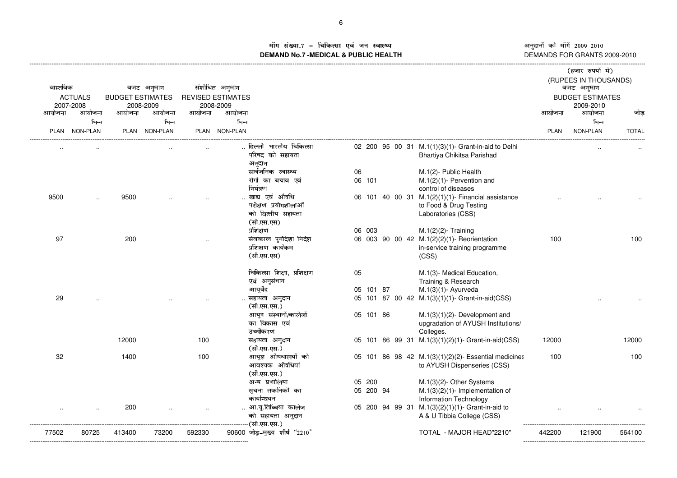ॉग संख्या.7 - चिकित्सा एवं जन स्वास्थ्य<br>IAND No.7 MEDICAL & DIIBLIC HEALTH **DEMAND No.7 -MEDICAL & PUBLIC HEALTH**

---------------------------------------------------------------------------------------------------------------------------------------------------------------------------------------------------------------------------------------------------------------------------- »------------------- ¼½®¾¿ÀÁ®¯°¯°Â³

®«®¯° <sup>±</sup>²³®´µ¯° ¶··¸¹ ¶·º· DEMANDS FOR GRANTS 2009-2010

|          |                     |                         |                     |        |                                                     |           |                                                                                     |             | (हजार रुपया म)<br>(RUPEES IN THOUSANDS) |              |
|----------|---------------------|-------------------------|---------------------|--------|-----------------------------------------------------|-----------|-------------------------------------------------------------------------------------|-------------|-----------------------------------------|--------------|
| वास्तविक |                     |                         | बजट अनुमान          |        | संशोधित अनुमान                                      |           |                                                                                     |             | बजट अनुमान                              |              |
|          | <b>ACTUALS</b>      | <b>BUDGET ESTIMATES</b> |                     |        | <b>REVISED ESTIMATES</b>                            |           |                                                                                     |             | <b>BUDGET ESTIMATES</b>                 |              |
| आयोजना   | 2007-2008<br>आयोजना | आयोजना                  | 2008-2009<br>आयोजना | आयोजना | 2008-2009<br>आयोजना                                 |           |                                                                                     | आयोजना      | 2009-2010<br>आयोजना                     | जोड          |
|          | भिन्न               |                         | भिन्न               |        | भिन्न                                               |           |                                                                                     |             | भिन्न                                   |              |
| PLAN     | <b>NON-PLAN</b>     |                         | PLAN NON-PLAN       |        | PLAN NON-PLAN                                       |           |                                                                                     | <b>PLAN</b> | NON-PLAN                                | <b>TOTAL</b> |
|          |                     |                         |                     |        | दिल्ली भारतीय चिकित्सा<br>परिषद को सहायता<br>अनुदान |           | 02 200 95 00 31 M.1(1)(3)(1)- Grant-in-aid to Delhi<br>Bhartiya Chikitsa Parishad   |             |                                         |              |
|          |                     |                         |                     |        | सार्वजनिक स्वास्थ्य                                 | 06        | M.1(2)- Public Health                                                               |             |                                         |              |
|          |                     |                         |                     |        | रोगों का बचाव एवं                                   | 06 101    | $M.1(2)(1)$ - Pervention and                                                        |             |                                         |              |
|          |                     |                         |                     |        | नियंत्रण                                            |           | control of diseases                                                                 |             |                                         |              |
| 9500     | $\ddotsc$           | 9500                    |                     |        | खाद्य एवं औषधि                                      |           | 06 101 40 00 31 M.1(2)(1)(1)- Financial assistance                                  |             |                                         |              |
|          |                     |                         |                     |        | परीक्षण प्रयोगशालाओं                                |           | to Food & Drug Testing                                                              |             |                                         |              |
|          |                     |                         |                     |        | को वित्तीय सहायता<br>(सी.एस.एस)                     |           | Laboratories (CSS)                                                                  |             |                                         |              |
|          |                     |                         |                     |        | प्रशिक्षण                                           | 06 003    | $M.1(2)(2)$ - Training                                                              |             |                                         |              |
| 97       |                     | 200                     |                     |        | सेवाकाल पुर्नेदिशा-निदेश                            |           | 06 003 90 00 42 M.1(2)(2)(1)- Reorientation                                         | 100         |                                         | 100          |
|          |                     |                         |                     |        | प्रशिक्षण कार्यकम                                   |           | in-service training programme                                                       |             |                                         |              |
|          |                     |                         |                     |        | (सी.एस.एस)                                          |           | (CSS)                                                                               |             |                                         |              |
|          |                     |                         |                     |        | चिकित्सा शिक्षा, प्रशिक्षण                          | 05        | M.1(3)- Medical Education,                                                          |             |                                         |              |
|          |                     |                         |                     |        | एवं अनुसंधान                                        |           | Training & Research                                                                 |             |                                         |              |
|          |                     |                         |                     |        | आयुर्वेद                                            | 05 101 87 | $M.1(3)(1)$ - Ayurveda                                                              |             |                                         |              |
| 29       |                     |                         |                     |        | सहायता अनुदान<br>(सी.एस.एस.)                        |           | 05 101 87 00 42 M.1(3)(1)(1)- Grant-in-aid(CSS)                                     |             |                                         |              |
|          |                     |                         |                     |        | आयुष संस्थानों/कालेजों                              | 05 101 86 | $M.1(3)(1)(2)$ - Development and                                                    |             |                                         |              |
|          |                     |                         |                     |        | का विकास एवं                                        |           | upgradation of AYUSH Institutions/                                                  |             |                                         |              |
|          |                     |                         |                     |        | उच्चीकरण                                            |           | Colleges.                                                                           |             |                                         |              |
|          |                     | 12000                   |                     | 100    | सहायता अनुदान<br>(सी.एस.एस.)                        |           | 05 101 86 99 31 M.1(3)(1)(2)(1)- Grant-in-aid(CSS)                                  | 12000       |                                         | 12000        |
| 32       |                     | 1400                    |                     | 100    | आयुश औषधालयों को<br>आवश्यक औषधियां<br>(सी.एस.एस.)   |           | 05 101 86 98 42 M.1(3)(1)(2)(2)- Essential medicines<br>to AYUSH Dispenseries (CSS) | 100         |                                         | 100          |
|          |                     |                         |                     |        | अन्य प्रणालियां                                     | 05 200    | $M.1(3)(2)$ - Other Systems                                                         |             |                                         |              |
|          |                     |                         |                     |        | सूचना तकनिकी का                                     | 05 200 94 | $M.1(3)(2)(1)$ - Implementation of                                                  |             |                                         |              |
|          |                     |                         |                     |        | कार्यान्वयन                                         |           | <b>Information Technology</b>                                                       |             |                                         |              |
|          |                     | 200                     |                     |        | आ.यू.तिब्बिया कालेज                                 |           | 05 200 94 99 31 M.1(3)(2)(1)(1)- Grant-in-aid to                                    |             |                                         |              |
|          |                     |                         |                     |        | को सहायता अनुदान                                    |           | A & U Tibbia College (CSS)                                                          |             |                                         |              |
|          |                     |                         |                     |        | -(सी.एस.एस.)                                        |           |                                                                                     |             |                                         |              |
| 77502    | 80725               | 413400                  | 73200               | 592330 | $90600$ जोड़-मुख्य शीर्ष "2210"                     |           | TOTAL - MAJOR HEAD"2210"                                                            | 442200      | 121900                                  | 564100       |